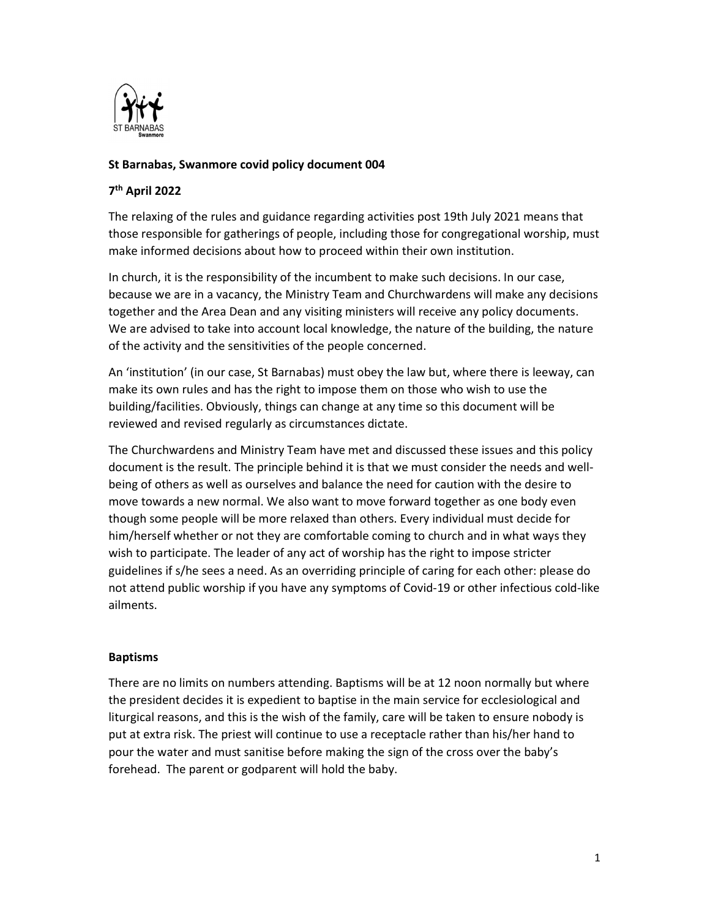

# St Barnabas, Swanmore covid policy document 004

# 7 th April 2022

The relaxing of the rules and guidance regarding activities post 19th July 2021 means that those responsible for gatherings of people, including those for congregational worship, must make informed decisions about how to proceed within their own institution.

In church, it is the responsibility of the incumbent to make such decisions. In our case, because we are in a vacancy, the Ministry Team and Churchwardens will make any decisions together and the Area Dean and any visiting ministers will receive any policy documents. We are advised to take into account local knowledge, the nature of the building, the nature of the activity and the sensitivities of the people concerned.

An 'institution' (in our case, St Barnabas) must obey the law but, where there is leeway, can make its own rules and has the right to impose them on those who wish to use the building/facilities. Obviously, things can change at any time so this document will be reviewed and revised regularly as circumstances dictate.

The Churchwardens and Ministry Team have met and discussed these issues and this policy document is the result. The principle behind it is that we must consider the needs and wellbeing of others as well as ourselves and balance the need for caution with the desire to move towards a new normal. We also want to move forward together as one body even though some people will be more relaxed than others. Every individual must decide for him/herself whether or not they are comfortable coming to church and in what ways they wish to participate. The leader of any act of worship has the right to impose stricter guidelines if s/he sees a need. As an overriding principle of caring for each other: please do not attend public worship if you have any symptoms of Covid-19 or other infectious cold-like ailments.

### Baptisms

There are no limits on numbers attending. Baptisms will be at 12 noon normally but where the president decides it is expedient to baptise in the main service for ecclesiological and liturgical reasons, and this is the wish of the family, care will be taken to ensure nobody is put at extra risk. The priest will continue to use a receptacle rather than his/her hand to pour the water and must sanitise before making the sign of the cross over the baby's forehead. The parent or godparent will hold the baby.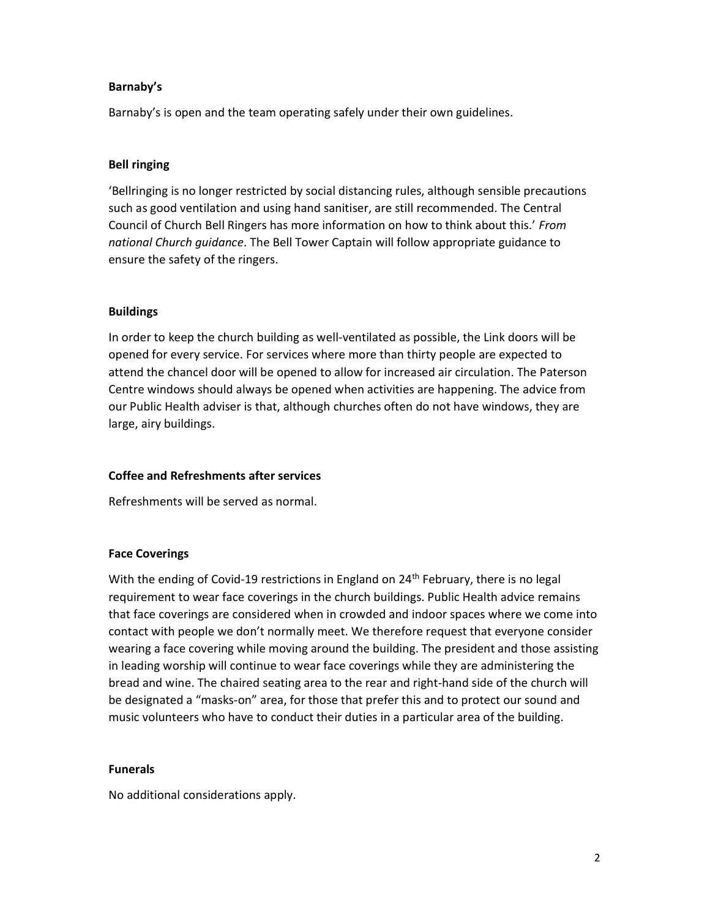### Barnaby's

Barnaby's is open and the team operating safely under their own guidelines.

# Bell ringing

'Bellringing is no longer restricted by social distancing rules, although sensible precautions such as good ventilation and using hand sanitiser, are still recommended. The Central Council of Church Bell Ringers has more information on how to think about this.' From national Church guidance. The Bell Tower Captain will follow appropriate guidance to ensure the safety of the ringers.

# Buildings

In order to keep the church building as well-ventilated as possible, the Link doors will be opened for every service. For services where more than thirty people are expected to attend the chancel door will be opened to allow for increased air circulation. The Paterson Centre windows should always be opened when activities are happening. The advice from our Public Health adviser is that, although churches often do not have windows, they are large, airy buildings.

### Coffee and Refreshments after services

Refreshments will be served as normal.

### Face Coverings

With the ending of Covid-19 restrictions in England on 24<sup>th</sup> February, there is no legal requirement to wear face coverings in the church buildings. Public Health advice remains that face coverings are considered when in crowded and indoor spaces where we come into contact with people we don't normally meet. We therefore request that everyone consider wearing a face covering while moving around the building. The president and those assisting in leading worship will continue to wear face coverings while they are administering the bread and wine. The chaired seating area to the rear and right-hand side of the church will be designated a "masks-on" area, for those that prefer this and to protect our sound and music volunteers who have to conduct their duties in a particular area of the building.

### Funerals

No additional considerations apply.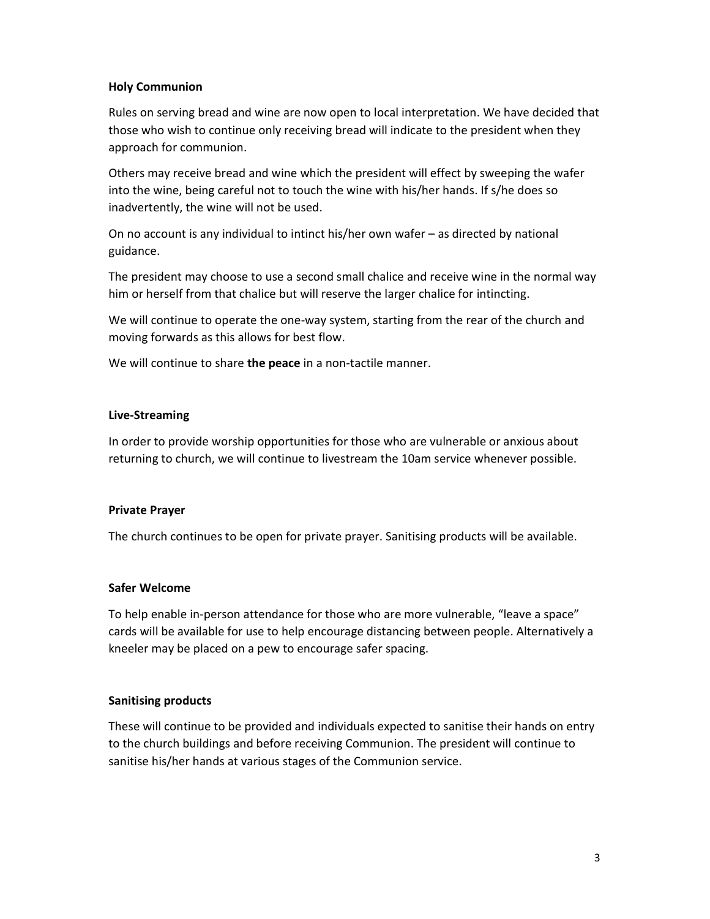### Holy Communion

Rules on serving bread and wine are now open to local interpretation. We have decided that those who wish to continue only receiving bread will indicate to the president when they approach for communion.

Others may receive bread and wine which the president will effect by sweeping the wafer into the wine, being careful not to touch the wine with his/her hands. If s/he does so inadvertently, the wine will not be used.

On no account is any individual to intinct his/her own wafer – as directed by national guidance.

The president may choose to use a second small chalice and receive wine in the normal way him or herself from that chalice but will reserve the larger chalice for intincting.

We will continue to operate the one-way system, starting from the rear of the church and moving forwards as this allows for best flow.

We will continue to share the peace in a non-tactile manner.

# Live-Streaming

In order to provide worship opportunities for those who are vulnerable or anxious about returning to church, we will continue to livestream the 10am service whenever possible.

### Private Prayer

The church continues to be open for private prayer. Sanitising products will be available.

### Safer Welcome

To help enable in-person attendance for those who are more vulnerable, "leave a space" cards will be available for use to help encourage distancing between people. Alternatively a kneeler may be placed on a pew to encourage safer spacing.

### Sanitising products

These will continue to be provided and individuals expected to sanitise their hands on entry to the church buildings and before receiving Communion. The president will continue to sanitise his/her hands at various stages of the Communion service.